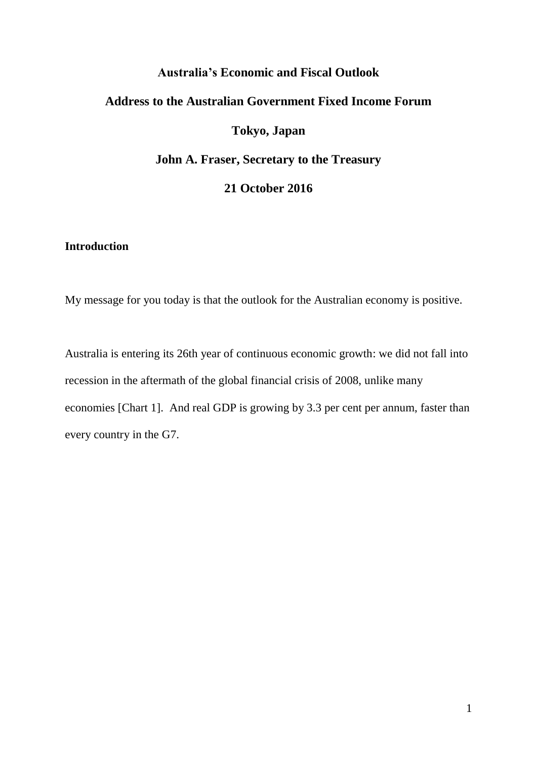# **Australia's Economic and Fiscal Outlook Address to the Australian Government Fixed Income Forum Tokyo, Japan John A. Fraser, Secretary to the Treasury**

## **21 October 2016**

## **Introduction**

My message for you today is that the outlook for the Australian economy is positive.

Australia is entering its 26th year of continuous economic growth: we did not fall into recession in the aftermath of the global financial crisis of 2008, unlike many economies [Chart 1]. And real GDP is growing by 3.3 per cent per annum, faster than every country in the G7.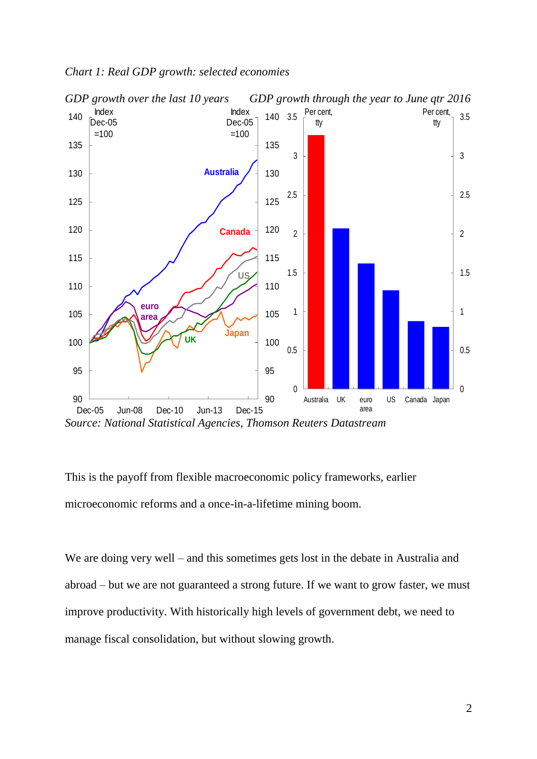

#### *Chart 1: Real GDP growth: selected economies*



This is the payoff from flexible macroeconomic policy frameworks, earlier microeconomic reforms and a once-in-a-lifetime mining boom.

We are doing very well – and this sometimes gets lost in the debate in Australia and abroad – but we are not guaranteed a strong future. If we want to grow faster, we must improve productivity. With historically high levels of government debt, we need to manage fiscal consolidation, but without slowing growth.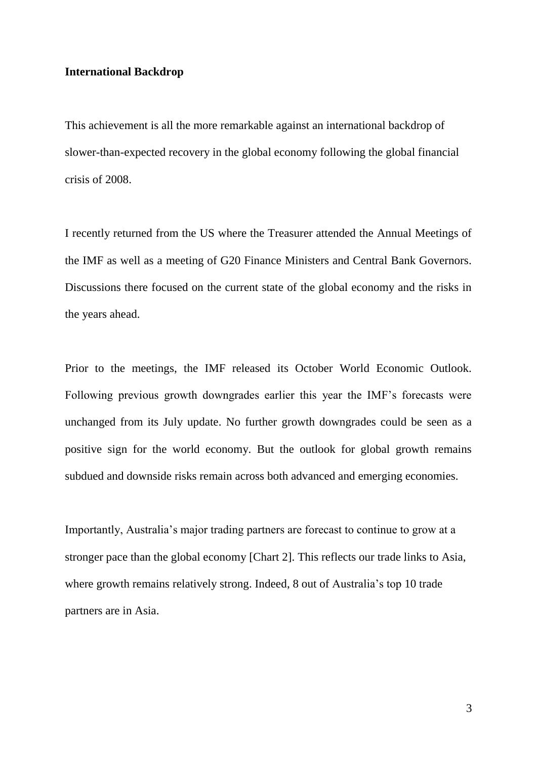#### **International Backdrop**

This achievement is all the more remarkable against an international backdrop of slower-than-expected recovery in the global economy following the global financial crisis of 2008.

I recently returned from the US where the Treasurer attended the Annual Meetings of the IMF as well as a meeting of G20 Finance Ministers and Central Bank Governors. Discussions there focused on the current state of the global economy and the risks in the years ahead.

Prior to the meetings, the IMF released its October World Economic Outlook. Following previous growth downgrades earlier this year the IMF's forecasts were unchanged from its July update. No further growth downgrades could be seen as a positive sign for the world economy. But the outlook for global growth remains subdued and downside risks remain across both advanced and emerging economies.

Importantly, Australia's major trading partners are forecast to continue to grow at a stronger pace than the global economy [Chart 2]. This reflects our trade links to Asia, where growth remains relatively strong. Indeed, 8 out of Australia's top 10 trade partners are in Asia.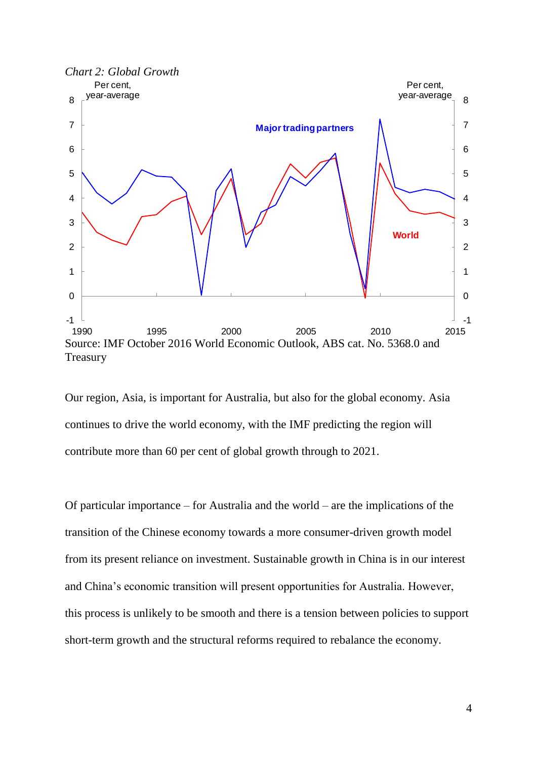

Our region, Asia, is important for Australia, but also for the global economy. Asia continues to drive the world economy, with the IMF predicting the region will contribute more than 60 per cent of global growth through to 2021.

Of particular importance – for Australia and the world – are the implications of the transition of the Chinese economy towards a more consumer-driven growth model from its present reliance on investment. Sustainable growth in China is in our interest and China's economic transition will present opportunities for Australia. However, this process is unlikely to be smooth and there is a tension between policies to support short-term growth and the structural reforms required to rebalance the economy.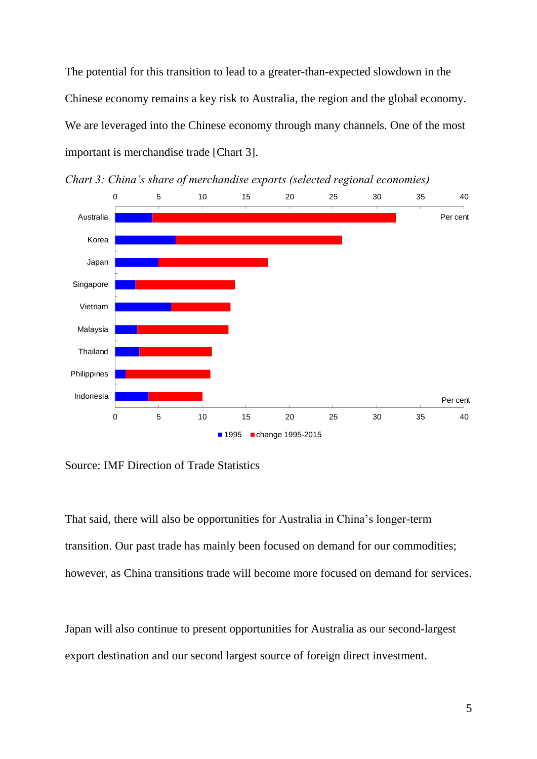The potential for this transition to lead to a greater-than-expected slowdown in the Chinese economy remains a key risk to Australia, the region and the global economy. We are leveraged into the Chinese economy through many channels. One of the most important is merchandise trade [Chart 3].



*Chart 3: China's share of merchandise exports (selected regional economies)*

Source: IMF Direction of Trade Statistics

That said, there will also be opportunities for Australia in China's longer-term transition. Our past trade has mainly been focused on demand for our commodities; however, as China transitions trade will become more focused on demand for services.

Japan will also continue to present opportunities for Australia as our second-largest export destination and our second largest source of foreign direct investment.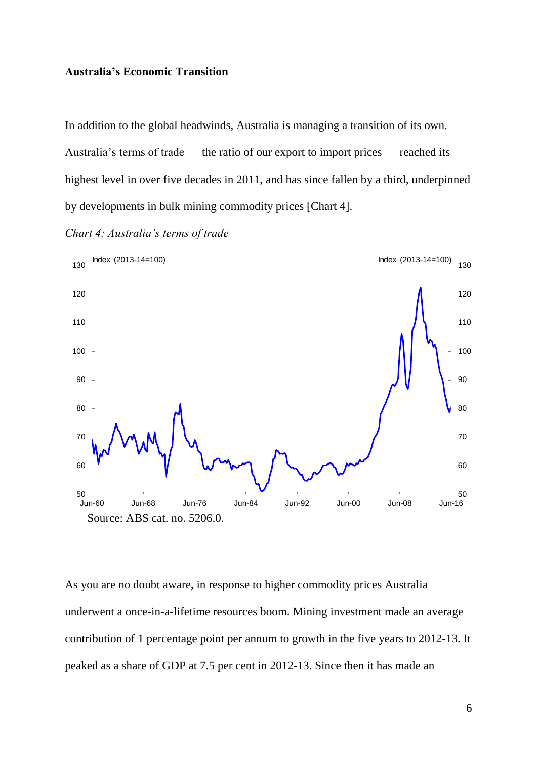#### **Australia's Economic Transition**

In addition to the global headwinds, Australia is managing a transition of its own. Australia's terms of trade — the ratio of our export to import prices — reached its highest level in over five decades in 2011, and has since fallen by a third, underpinned by developments in bulk mining commodity prices [Chart 4].

*Chart 4: Australia's terms of trade*



As you are no doubt aware, in response to higher commodity prices Australia underwent a once-in-a-lifetime resources boom. Mining investment made an average contribution of 1 percentage point per annum to growth in the five years to 2012-13. It peaked as a share of GDP at 7.5 per cent in 2012-13. Since then it has made an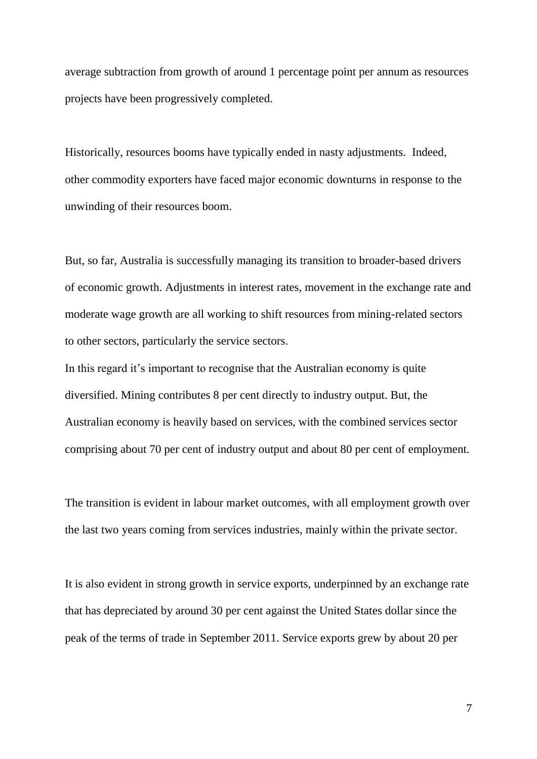average subtraction from growth of around 1 percentage point per annum as resources projects have been progressively completed.

Historically, resources booms have typically ended in nasty adjustments. Indeed, other commodity exporters have faced major economic downturns in response to the unwinding of their resources boom.

But, so far, Australia is successfully managing its transition to broader-based drivers of economic growth. Adjustments in interest rates, movement in the exchange rate and moderate wage growth are all working to shift resources from mining-related sectors to other sectors, particularly the service sectors.

In this regard it's important to recognise that the Australian economy is quite diversified. Mining contributes 8 per cent directly to industry output. But, the Australian economy is heavily based on services, with the combined services sector comprising about 70 per cent of industry output and about 80 per cent of employment.

The transition is evident in labour market outcomes, with all employment growth over the last two years coming from services industries, mainly within the private sector.

It is also evident in strong growth in service exports, underpinned by an exchange rate that has depreciated by around 30 per cent against the United States dollar since the peak of the terms of trade in September 2011. Service exports grew by about 20 per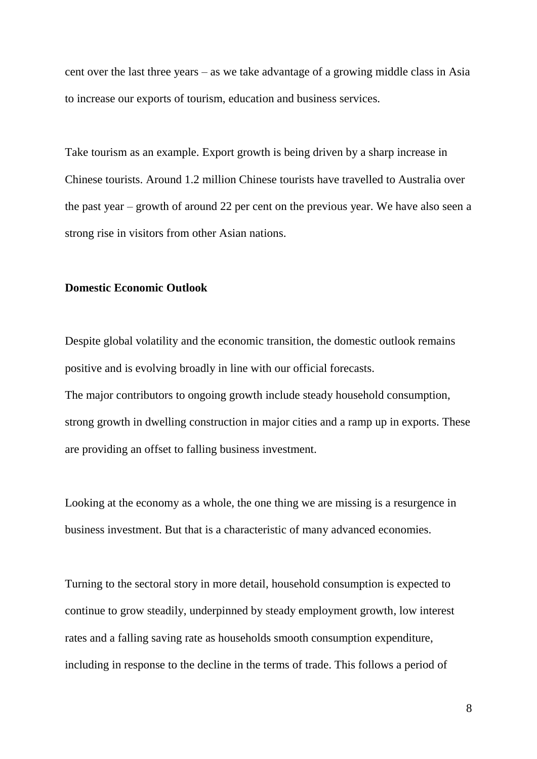cent over the last three years – as we take advantage of a growing middle class in Asia to increase our exports of tourism, education and business services.

Take tourism as an example. Export growth is being driven by a sharp increase in Chinese tourists. Around 1.2 million Chinese tourists have travelled to Australia over the past year – growth of around 22 per cent on the previous year. We have also seen a strong rise in visitors from other Asian nations.

#### **Domestic Economic Outlook**

Despite global volatility and the economic transition, the domestic outlook remains positive and is evolving broadly in line with our official forecasts. The major contributors to ongoing growth include steady household consumption, strong growth in dwelling construction in major cities and a ramp up in exports. These are providing an offset to falling business investment.

Looking at the economy as a whole, the one thing we are missing is a resurgence in business investment. But that is a characteristic of many advanced economies.

Turning to the sectoral story in more detail, household consumption is expected to continue to grow steadily, underpinned by steady employment growth, low interest rates and a falling saving rate as households smooth consumption expenditure, including in response to the decline in the terms of trade. This follows a period of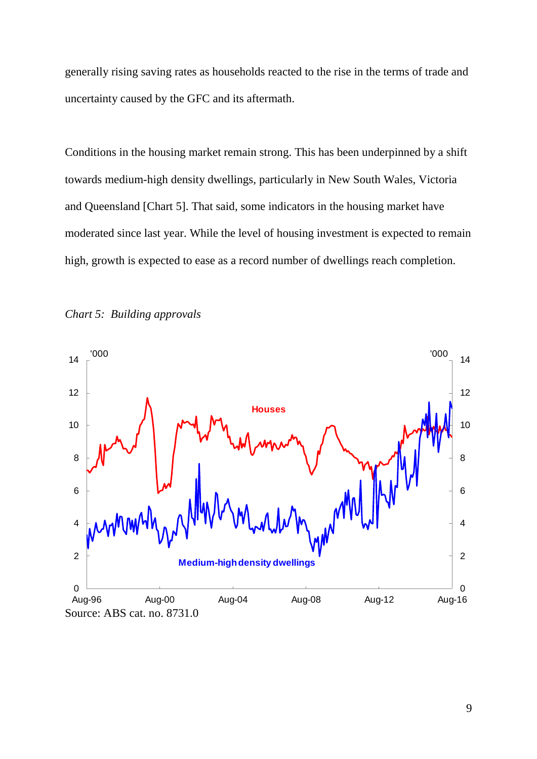generally rising saving rates as households reacted to the rise in the terms of trade and uncertainty caused by the GFC and its aftermath.

Conditions in the housing market remain strong. This has been underpinned by a shift towards medium-high density dwellings, particularly in New South Wales, Victoria and Queensland [Chart 5]. That said, some indicators in the housing market have moderated since last year. While the level of housing investment is expected to remain high, growth is expected to ease as a record number of dwellings reach completion.



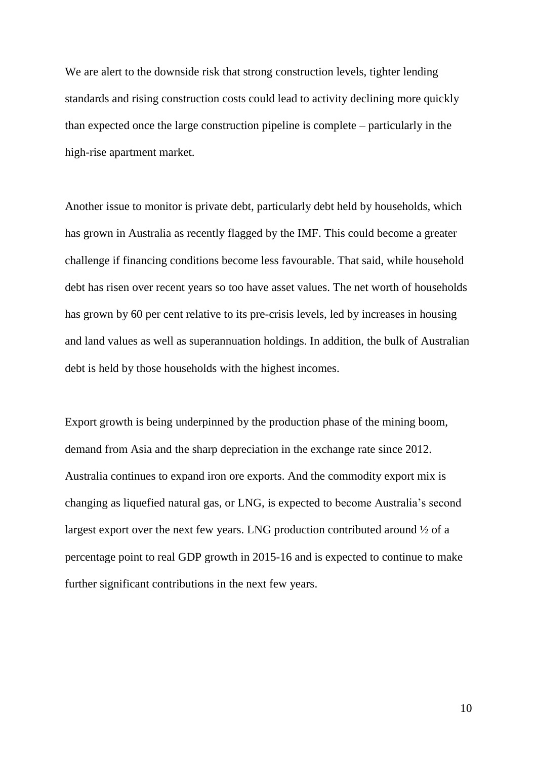We are alert to the downside risk that strong construction levels, tighter lending standards and rising construction costs could lead to activity declining more quickly than expected once the large construction pipeline is complete – particularly in the high-rise apartment market.

Another issue to monitor is private debt, particularly debt held by households, which has grown in Australia as recently flagged by the IMF. This could become a greater challenge if financing conditions become less favourable. That said, while household debt has risen over recent years so too have asset values. The net worth of households has grown by 60 per cent relative to its pre-crisis levels, led by increases in housing and land values as well as superannuation holdings. In addition, the bulk of Australian debt is held by those households with the highest incomes.

Export growth is being underpinned by the production phase of the mining boom, demand from Asia and the sharp depreciation in the exchange rate since 2012. Australia continues to expand iron ore exports. And the commodity export mix is changing as liquefied natural gas, or LNG, is expected to become Australia's second largest export over the next few years. LNG production contributed around ½ of a percentage point to real GDP growth in 2015-16 and is expected to continue to make further significant contributions in the next few years.

10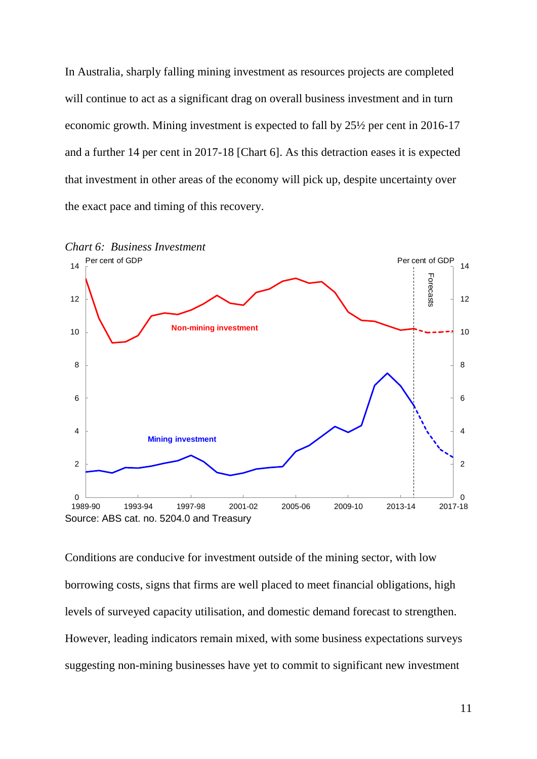In Australia, sharply falling mining investment as resources projects are completed will continue to act as a significant drag on overall business investment and in turn economic growth. Mining investment is expected to fall by 25½ per cent in 2016-17 and a further 14 per cent in 2017-18 [Chart 6]. As this detraction eases it is expected that investment in other areas of the economy will pick up, despite uncertainty over the exact pace and timing of this recovery.



Conditions are conducive for investment outside of the mining sector, with low borrowing costs, signs that firms are well placed to meet financial obligations, high levels of surveyed capacity utilisation, and domestic demand forecast to strengthen. However, leading indicators remain mixed, with some business expectations surveys suggesting non-mining businesses have yet to commit to significant new investment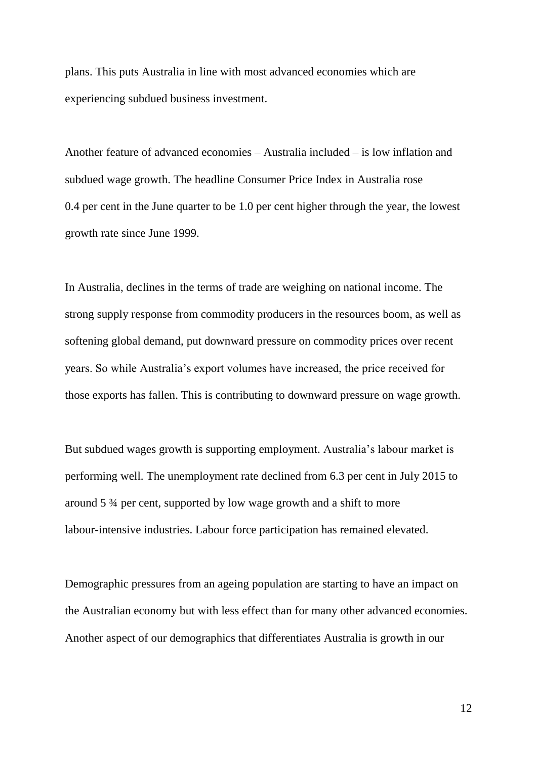plans. This puts Australia in line with most advanced economies which are experiencing subdued business investment.

Another feature of advanced economies – Australia included – is low inflation and subdued wage growth. The headline Consumer Price Index in Australia rose 0.4 per cent in the June quarter to be 1.0 per cent higher through the year, the lowest growth rate since June 1999.

In Australia, declines in the terms of trade are weighing on national income. The strong supply response from commodity producers in the resources boom, as well as softening global demand, put downward pressure on commodity prices over recent years. So while Australia's export volumes have increased, the price received for those exports has fallen. This is contributing to downward pressure on wage growth.

But subdued wages growth is supporting employment. Australia's labour market is performing well. The unemployment rate declined from 6.3 per cent in July 2015 to around 5 ¾ per cent, supported by low wage growth and a shift to more labour-intensive industries. Labour force participation has remained elevated.

Demographic pressures from an ageing population are starting to have an impact on the Australian economy but with less effect than for many other advanced economies. Another aspect of our demographics that differentiates Australia is growth in our

12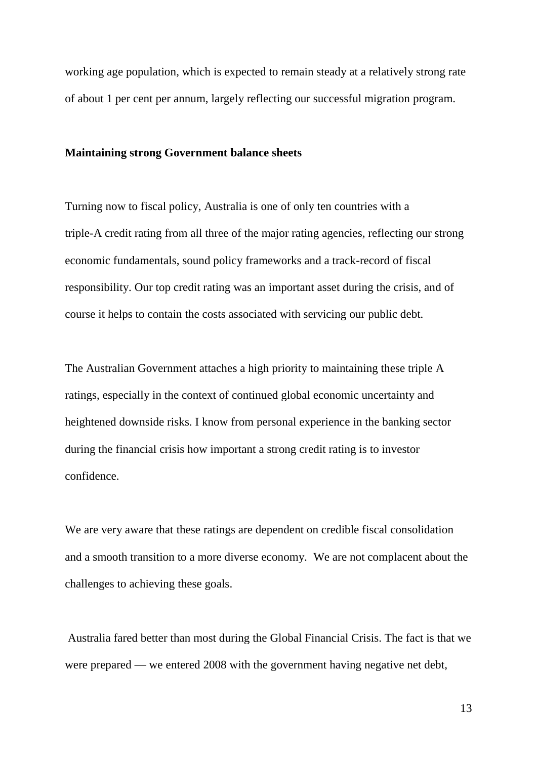working age population, which is expected to remain steady at a relatively strong rate of about 1 per cent per annum, largely reflecting our successful migration program.

#### **Maintaining strong Government balance sheets**

Turning now to fiscal policy, Australia is one of only ten countries with a triple-A credit rating from all three of the major rating agencies, reflecting our strong economic fundamentals, sound policy frameworks and a track-record of fiscal responsibility. Our top credit rating was an important asset during the crisis, and of course it helps to contain the costs associated with servicing our public debt.

The Australian Government attaches a high priority to maintaining these triple A ratings, especially in the context of continued global economic uncertainty and heightened downside risks. I know from personal experience in the banking sector during the financial crisis how important a strong credit rating is to investor confidence.

We are very aware that these ratings are dependent on credible fiscal consolidation and a smooth transition to a more diverse economy. We are not complacent about the challenges to achieving these goals.

Australia fared better than most during the Global Financial Crisis. The fact is that we were prepared — we entered 2008 with the government having negative net debt,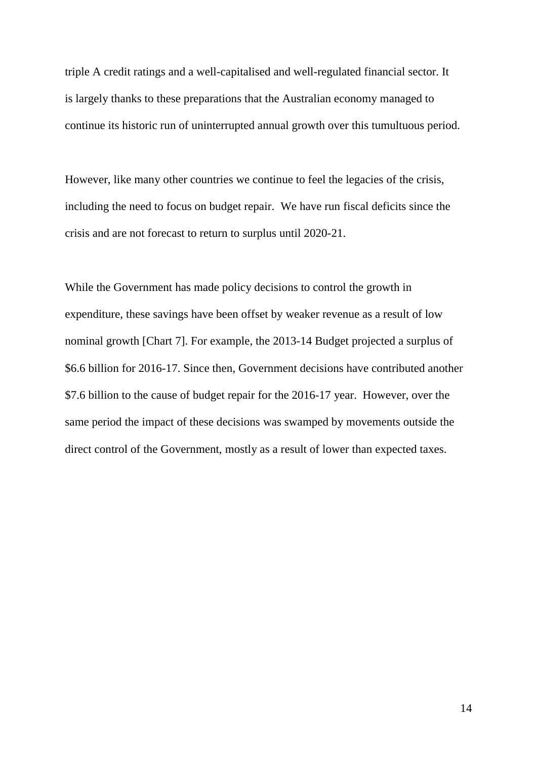triple A credit ratings and a well-capitalised and well-regulated financial sector. It is largely thanks to these preparations that the Australian economy managed to continue its historic run of uninterrupted annual growth over this tumultuous period.

However, like many other countries we continue to feel the legacies of the crisis, including the need to focus on budget repair. We have run fiscal deficits since the crisis and are not forecast to return to surplus until 2020-21.

While the Government has made policy decisions to control the growth in expenditure, these savings have been offset by weaker revenue as a result of low nominal growth [Chart 7]. For example, the 2013-14 Budget projected a surplus of \$6.6 billion for 2016-17. Since then, Government decisions have contributed another \$7.6 billion to the cause of budget repair for the 2016-17 year. However, over the same period the impact of these decisions was swamped by movements outside the direct control of the Government, mostly as a result of lower than expected taxes.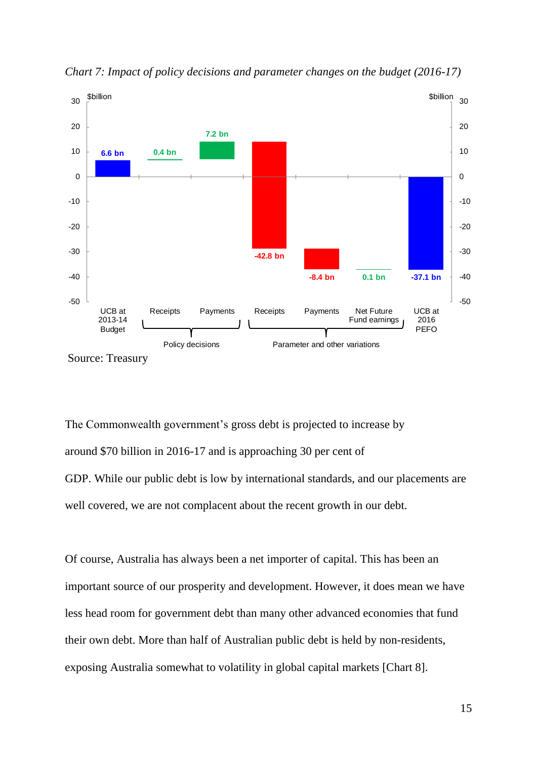

*Chart 7: Impact of policy decisions and parameter changes on the budget (2016-17)*

The Commonwealth government's gross debt is projected to increase by around \$70 billion in 2016-17 and is approaching 30 per cent of GDP. While our public debt is low by international standards, and our placements are well covered, we are not complacent about the recent growth in our debt.

Of course, Australia has always been a net importer of capital. This has been an important source of our prosperity and development. However, it does mean we have less head room for government debt than many other advanced economies that fund their own debt. More than half of Australian public debt is held by non-residents, exposing Australia somewhat to volatility in global capital markets [Chart 8].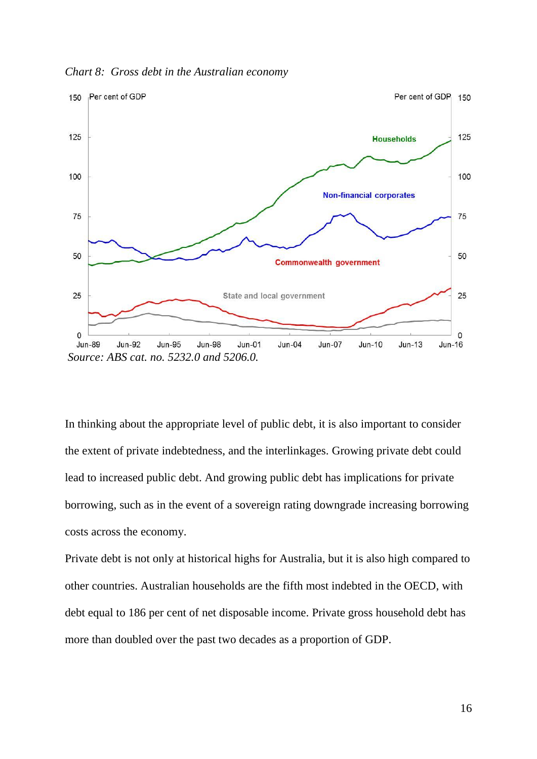*Chart 8: Gross debt in the Australian economy*



In thinking about the appropriate level of public debt, it is also important to consider the extent of private indebtedness, and the interlinkages. Growing private debt could lead to increased public debt. And growing public debt has implications for private borrowing, such as in the event of a sovereign rating downgrade increasing borrowing costs across the economy.

Private debt is not only at historical highs for Australia, but it is also high compared to other countries. Australian households are the fifth most indebted in the OECD, with debt equal to 186 per cent of net disposable income. Private gross household debt has more than doubled over the past two decades as a proportion of GDP.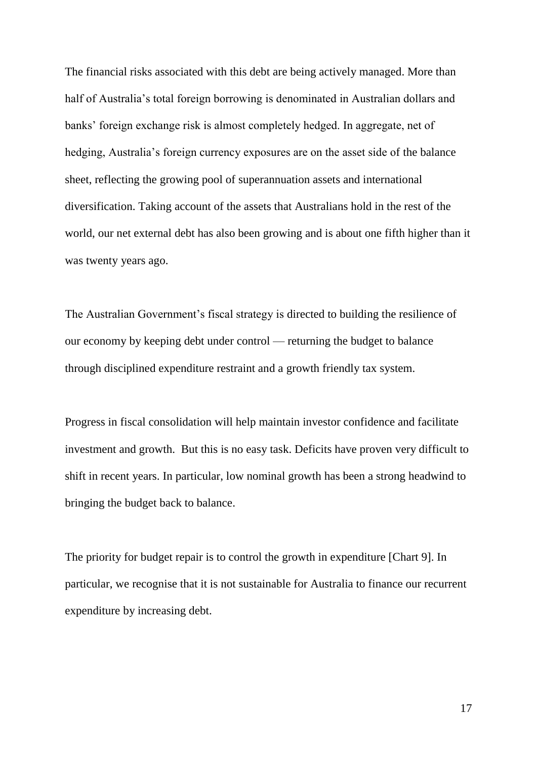The financial risks associated with this debt are being actively managed. More than half of Australia's total foreign borrowing is denominated in Australian dollars and banks' foreign exchange risk is almost completely hedged. In aggregate, net of hedging, Australia's foreign currency exposures are on the asset side of the balance sheet, reflecting the growing pool of superannuation assets and international diversification. Taking account of the assets that Australians hold in the rest of the world, our net external debt has also been growing and is about one fifth higher than it was twenty years ago.

The Australian Government's fiscal strategy is directed to building the resilience of our economy by keeping debt under control — returning the budget to balance through disciplined expenditure restraint and a growth friendly tax system.

Progress in fiscal consolidation will help maintain investor confidence and facilitate investment and growth. But this is no easy task. Deficits have proven very difficult to shift in recent years. In particular, low nominal growth has been a strong headwind to bringing the budget back to balance.

The priority for budget repair is to control the growth in expenditure [Chart 9]. In particular, we recognise that it is not sustainable for Australia to finance our recurrent expenditure by increasing debt.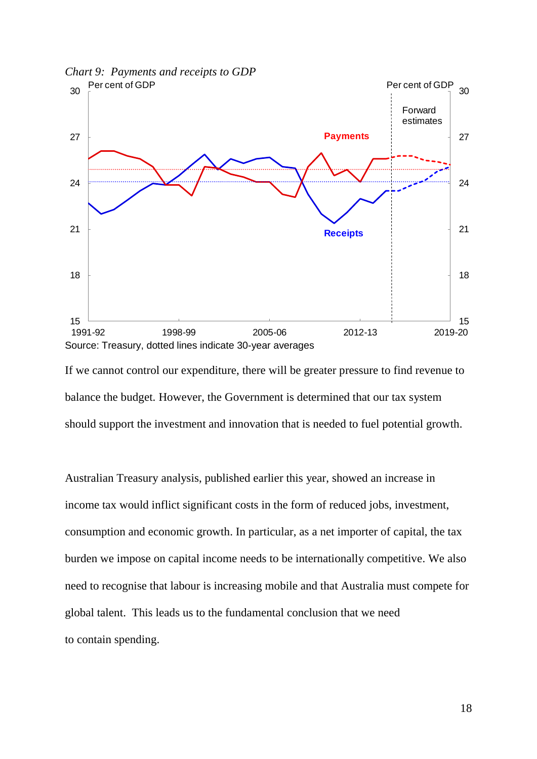

If we cannot control our expenditure, there will be greater pressure to find revenue to balance the budget. However, the Government is determined that our tax system should support the investment and innovation that is needed to fuel potential growth.

Australian Treasury analysis, published earlier this year, showed an increase in income tax would inflict significant costs in the form of reduced jobs, investment, consumption and economic growth. In particular, as a net importer of capital, the tax burden we impose on capital income needs to be internationally competitive. We also need to recognise that labour is increasing mobile and that Australia must compete for global talent. This leads us to the fundamental conclusion that we need to contain spending.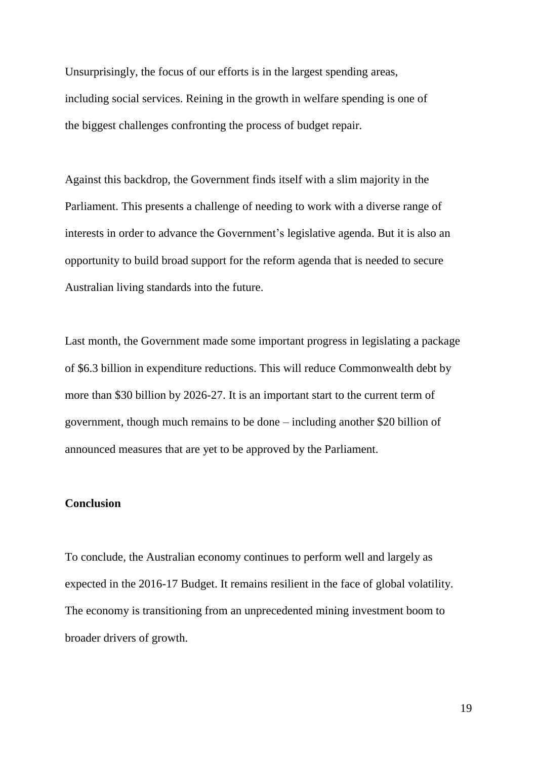Unsurprisingly, the focus of our efforts is in the largest spending areas, including social services. Reining in the growth in welfare spending is one of the biggest challenges confronting the process of budget repair.

Against this backdrop, the Government finds itself with a slim majority in the Parliament. This presents a challenge of needing to work with a diverse range of interests in order to advance the Government's legislative agenda. But it is also an opportunity to build broad support for the reform agenda that is needed to secure Australian living standards into the future.

Last month, the Government made some important progress in legislating a package of \$6.3 billion in expenditure reductions. This will reduce Commonwealth debt by more than \$30 billion by 2026-27. It is an important start to the current term of government, though much remains to be done – including another \$20 billion of announced measures that are yet to be approved by the Parliament.

### **Conclusion**

To conclude, the Australian economy continues to perform well and largely as expected in the 2016-17 Budget. It remains resilient in the face of global volatility. The economy is transitioning from an unprecedented mining investment boom to broader drivers of growth.